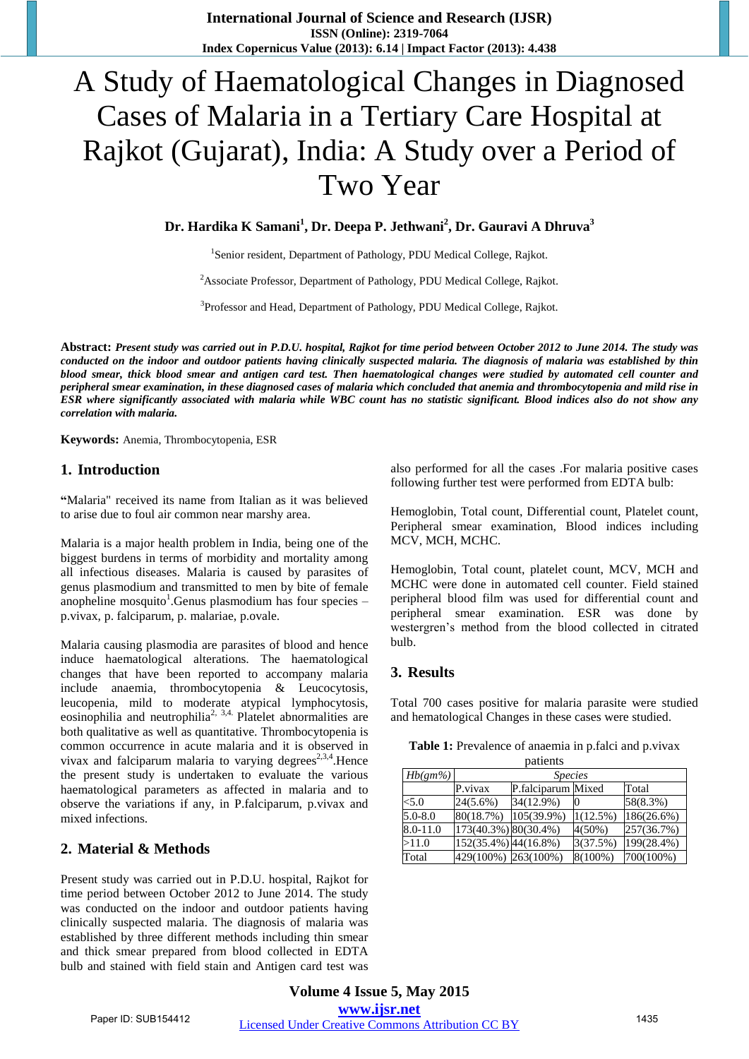# A Study of Haematological Changes in Diagnosed Cases of Malaria in a Tertiary Care Hospital at Rajkot (Gujarat), India: A Study over a Period of Two Year

**Dr. Hardika K Samani<sup>1</sup> , Dr. Deepa P. Jethwani<sup>2</sup> , Dr. Gauravi A Dhruva<sup>3</sup>**

<sup>1</sup>Senior resident, Department of Pathology, PDU Medical College, Rajkot.

<sup>2</sup>Associate Professor, Department of Pathology, PDU Medical College, Rajkot.

<sup>3</sup>Professor and Head, Department of Pathology, PDU Medical College, Rajkot.

**Abstract:** *Present study was carried out in P.D.U. hospital, Rajkot for time period between October 2012 to June 2014. The study was conducted on the indoor and outdoor patients having clinically suspected malaria. The diagnosis of malaria was established by thin blood smear, thick blood smear and antigen card test. Then haematological changes were studied by automated cell counter and peripheral smear examination, in these diagnosed cases of malaria which concluded that anemia and thrombocytopenia and mild rise in ESR where significantly associated with malaria while WBC count has no statistic significant. Blood indices also do not show any correlation with malaria.* 

**Keywords:** Anemia, Thrombocytopenia, ESR

#### **1. Introduction**

**"**Malaria" received its name from Italian as it was believed to arise due to foul air common near marshy area.

Malaria is a major health problem in India, being one of the biggest burdens in terms of morbidity and mortality among all infectious diseases. Malaria is caused by parasites of genus plasmodium and transmitted to men by bite of female anopheline mosquito<sup>1</sup>. Genus plasmodium has four species  $$ p.vivax, p. falciparum, p. malariae, p.ovale.

Malaria causing plasmodia are parasites of blood and hence induce haematological alterations. The haematological changes that have been reported to accompany malaria include anaemia, thrombocytopenia & Leucocytosis, leucopenia, mild to moderate atypical lymphocytosis,  $\frac{1}{2}$  construction and neutrophilia<sup>2, 3,4</sup>. Platelet abnormalities are both qualitative as well as quantitative. Thrombocytopenia is common occurrence in acute malaria and it is observed in vivax and falciparum malaria to varying degrees<sup>2,3,4</sup>. Hence the present study is undertaken to evaluate the various haematological parameters as affected in malaria and to observe the variations if any, in P.falciparum, p.vivax and mixed infections.

#### **2. Material & Methods**

Present study was carried out in P.D.U. hospital, Rajkot for time period between October 2012 to June 2014. The study was conducted on the indoor and outdoor patients having clinically suspected malaria. The diagnosis of malaria was established by three different methods including thin smear and thick smear prepared from blood collected in EDTA bulb and stained with field stain and Antigen card test was also performed for all the cases .For malaria positive cases following further test were performed from EDTA bulb:

Hemoglobin, Total count, Differential count, Platelet count, Peripheral smear examination, Blood indices including MCV, MCH, MCHC.

Hemoglobin, Total count, platelet count, MCV, MCH and MCHC were done in automated cell counter. Field stained peripheral blood film was used for differential count and peripheral smear examination. ESR was done by westergren's method from the blood collected in citrated bulb.

#### **3. Results**

Total 700 cases positive for malaria parasite were studied and hematological Changes in these cases were studied.

| patients    |                      |                    |          |            |  |
|-------------|----------------------|--------------------|----------|------------|--|
| $Hb(gm\%)$  | <i>Species</i>       |                    |          |            |  |
|             | P.vivax              | P.falciparum Mixed |          | Total      |  |
| < 5.0       | 24(5.6%)             | 34(12.9%)          |          | 58(8.3%)   |  |
| $5.0 - 8.0$ | 80(18.7%)            | 105(39.9%)         | 1(12.5%) | 186(26.6%) |  |
| 8.0-11.0    | 173(40.3%) 80(30.4%) |                    | 4(50%)   | 257(36.7%) |  |
| >11.0       | 152(35.4%) 44(16.8%) |                    | 3(37.5%) | 199(28.4%) |  |
| Total       | 429(100%) 263(100%)  |                    | 8(100%)  | 700(100%)  |  |

**Table 1:** Prevalence of anaemia in p.falci and p.vivax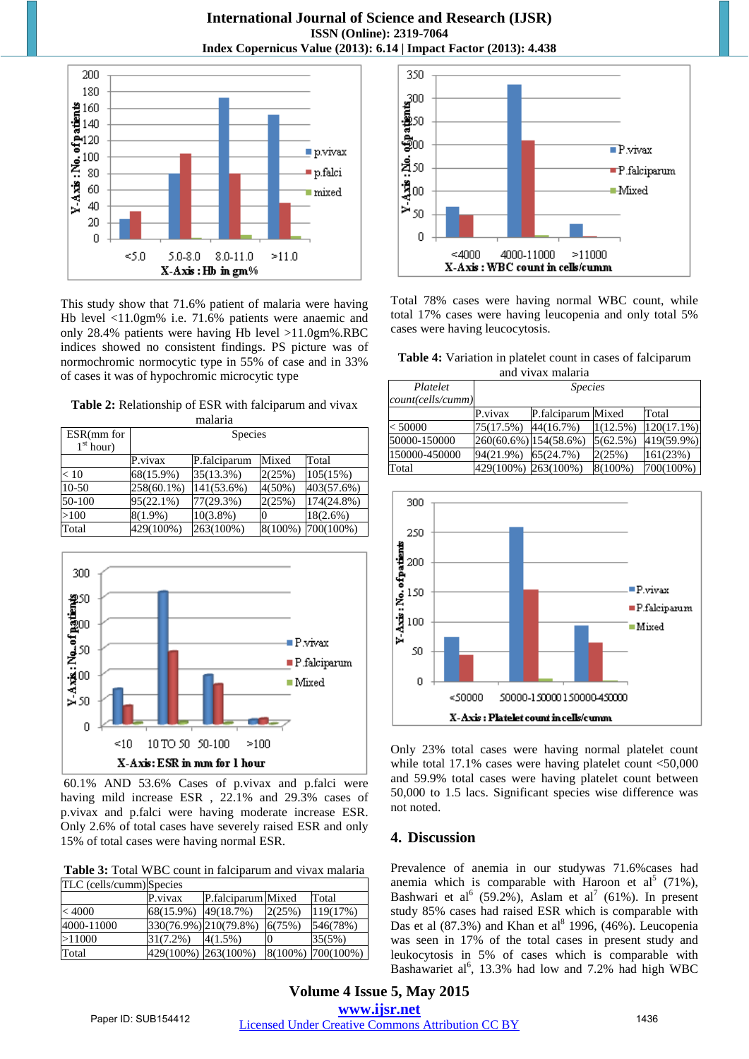**International Journal of Science and Research (IJSR) ISSN (Online): 2319-7064 Index Copernicus Value (2013): 6.14 | Impact Factor (2013): 4.438** 



This study show that 71.6% patient of malaria were having Hb level <11.0gm% i.e. 71.6% patients were anaemic and only 28.4% patients were having Hb level >11.0gm%.RBC indices showed no consistent findings. PS picture was of normochromic normocytic type in 55% of case and in 33% of cases it was of hypochromic microcytic type

**Table 2:** Relationship of ESR with falciparum and vivax

| malaria               |                |              |           |                   |  |
|-----------------------|----------------|--------------|-----------|-------------------|--|
| ESR(mm for            | <b>Species</b> |              |           |                   |  |
| 1 <sup>st</sup> hour) |                |              |           |                   |  |
|                       | P.vivax        | P.falciparum | Mixed     | Total             |  |
| < 10                  | 68(15.9%)      | 35(13.3%)    | 2(25%)    | 105(15%)          |  |
| 10-50                 | 258(60.1%)     | 141(53.6%)   | $4(50\%)$ | 403(57.6%)        |  |
| 50-100                | 95(22.1%)      | 77(29.3%)    | 2(25%)    | 174(24.8%)        |  |
| >100                  | $8(1.9\%)$     | $10(3.8\%)$  |           | $18(2.6\%)$       |  |
| Total                 | 429(100%)      | 263(100%)    |           | 8(100%) 700(100%) |  |



 60.1% AND 53.6% Cases of p.vivax and p.falci were having mild increase ESR , 22.1% and 29.3% cases of p.vivax and p.falci were having moderate increase ESR. Only 2.6% of total cases have severely raised ESR and only 15% of total cases were having normal ESR.

**Table 3:** Total WBC count in falciparum and vivax malaria

| TLC (cells/cumm) Species |                     |                       |        |                      |
|--------------------------|---------------------|-----------------------|--------|----------------------|
|                          | P.vivax             | P.falciparum Mixed    |        | Total                |
| < 4000                   | 68(15.9%)           | 49(18.7%)             | 2(25%) | 119(17%)             |
| 4000-11000               |                     | 330(76.9%) 210(79.8%) | 6(75%) | 546(78%)             |
| >11000                   | $31(7.2\%)$         | $4(1.5\%)$            |        | 35(5%)               |
| Total                    | 429(100%) 263(100%) |                       |        | $8(100\%)$ 700(100%) |



Total 78% cases were having normal WBC count, while total 17% cases were having leucopenia and only total 5% cases were having leucocytosis.

| Table 4: Variation in platelet count in cases of falciparum |
|-------------------------------------------------------------|
| and vivax malaria                                           |

| Platelet          | <i>Species</i> |                       |          |               |
|-------------------|----------------|-----------------------|----------|---------------|
| count(cells/cumm) |                |                       |          |               |
|                   | P.vivax        | P.falciparum Mixed    |          | Total         |
| < 50000           | 75(17.5%)      | 44(16.7%)             | 1(12.5%) | $120(17.1\%)$ |
| 50000-150000      |                | 260(60.6%) 154(58.6%) | 5(62.5%) | 419(59.9%)    |
| 150000-450000     | 94(21.9%)      | 65(24.7%)             | 2(25%)   | 161(23%)      |
| Total             | 429(100%)      | $263(100\%)$          | 8(100%)  | 700(100%)     |



Only 23% total cases were having normal platelet count while total 17.1% cases were having platelet count <50,000 and 59.9% total cases were having platelet count between 50,000 to 1.5 lacs. Significant species wise difference was not noted.

#### **4. Discussion**

Prevalence of anemia in our studywas 71.6%cases had anemia which is comparable with Haroon et  $al^5$  (71%), Bashwari et al<sup>6</sup> (59.2%), Aslam et al<sup>7</sup> (61%). In present study 85% cases had raised ESR which is comparable with Das et al  $(87.3%)$  and Khan et al<sup>8</sup> 1996,  $(46%)$ . Leucopenia was seen in 17% of the total cases in present study and leukocytosis in 5% of cases which is comparable with Bashawariet al<sup>6</sup>, 13.3% had low and 7.2% had high WBC